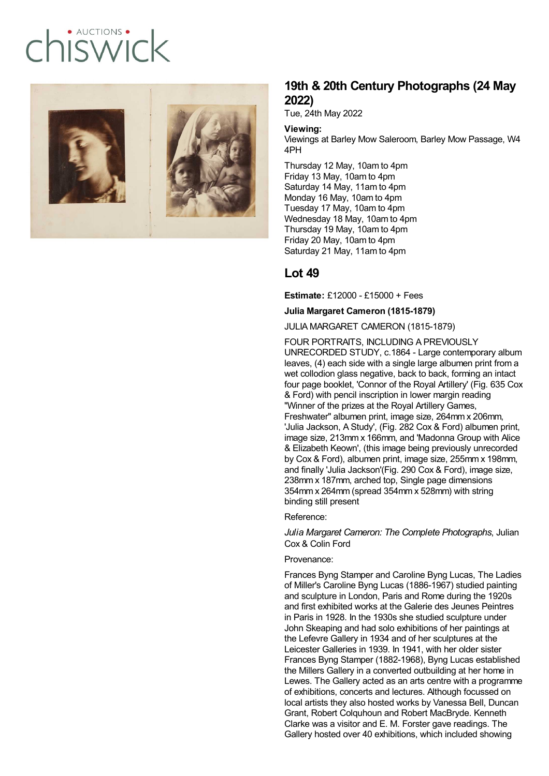# · AUCTIONS  $I(X)$



## **19th & 20th Century Photographs (24 May 2022)**

Tue, 24th May 2022

#### **Viewing:**

Viewings at Barley Mow Saleroom, Barley Mow Passage, W4 4PH

Thursday 12 May, 10am to 4pm Friday 13 May, 10am to 4pm Saturday 14 May, 11am to 4pm Monday 16 May, 10am to 4pm Tuesday 17 May, 10am to 4pm Wednesday 18 May, 10am to 4pm Thursday 19 May, 10am to 4pm Friday 20 May, 10am to 4pm Saturday 21 May, 11am to 4pm

### **Lot 49**

**Estimate:** £12000 - £15000 + Fees

**Julia Margaret Cameron (1815-1879)**

JULIA MARGARET CAMERON (1815-1879)

FOUR PORTRAITS, INCLUDING A PREVIOUSLY UNRECORDED STUDY, c.1864 - Large contemporary album leaves, (4) each side with a single large albumen print from a wet collodion glass negative, back to back, forming an intact four page booklet, 'Connor of the Royal Artillery' (Fig. 635 Cox & Ford) with pencil inscription in lower margin reading "Winner of the prizes at the Royal Artillery Games, Freshwater" albumen print, image size, 264mm x 206mm, 'Julia Jackson, A Study', (Fig. 282 Cox & Ford) albumen print, image size, 213mm x 166mm, and 'Madonna Group with Alice & Elizabeth Keown', (this image being previously unrecorded by Cox & Ford), albumen print, image size, 255mm x 198mm, and finally 'Julia Jackson'(Fig. 290 Cox & Ford), image size, 238mm x 187mm, arched top, Single page dimensions 354mm x 264mm (spread 354mm x 528mm) with string binding still present

Reference:

*Julia Margaret Cameron: The Complete Photographs*, Julian Cox & Colin Ford

#### Provenance:

Frances Byng Stamper and Caroline Byng Lucas, The Ladies of Miller's Caroline Byng Lucas (1886-1967) studied painting and sculpture in London, Paris and Rome during the 1920s and first exhibited works at the Galerie des Jeunes Peintres in Paris in 1928. In the 1930s she studied sculpture under John Skeaping and had solo exhibitions of her paintings at the Lefevre Gallery in 1934 and of her sculptures at the Leicester Galleries in 1939. In 1941, with her older sister Frances Byng Stamper (1882-1968), Byng Lucas established the Millers Gallery in a converted outbuilding at her home in Lewes. The Gallery acted as an arts centre with a programme of exhibitions, concerts and lectures. Although focussed on local artists they also hosted works by Vanessa Bell, Duncan Grant, Robert Colquhoun and Robert MacBryde. Kenneth Clarke was a visitor and E. M. Forster gave readings. The Gallery hosted over 40 exhibitions, which included showing